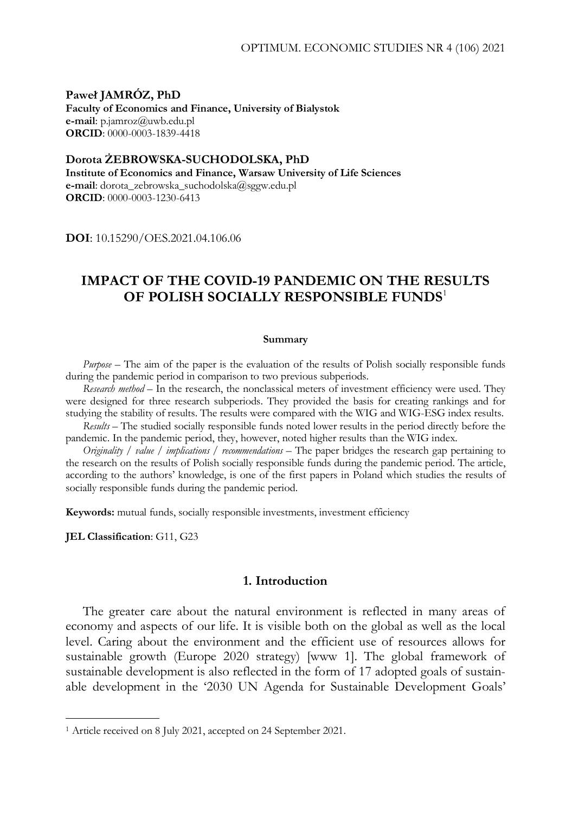**Paweł JAMRÓZ, PhD Faculty of Economics and Finance, University of Bialystok e-mail**: p.jamroz@uwb.edu.pl **ORCID**: 0000-0003-1839-4418

**Dorota ŻEBROWSKA-SUCHODOLSKA, PhD Institute of Economics and Finance, Warsaw University of Life Sciences e-mail**: dorota\_zebrowska\_suchodolska@sggw.edu.pl **ORCID**: 0000-0003-1230-6413

**DOI**: 10.15290/OES.2021.04.106.06

# **IMPACT OF THE COVID-19 PANDEMIC ON THE RESULTS OF POLISH SOCIALLY RESPONSIBLE FUNDS**<sup>1</sup>

#### **Summary**

*Purpose –* The aim of the paper is the evaluation of the results of Polish socially responsible funds during the pandemic period in comparison to two previous subperiods.

*Research method –* In the research, the nonclassical meters of investment efficiency were used. They were designed for three research subperiods. They provided the basis for creating rankings and for studying the stability of results. The results were compared with the WIG and WIG-ESG index results.

*Results –* The studied socially responsible funds noted lower results in the period directly before the pandemic. In the pandemic period, they, however, noted higher results than the WIG index.

*Originality / value / implications / recommendations* – The paper bridges the research gap pertaining to the research on the results of Polish socially responsible funds during the pandemic period. The article, according to the authors' knowledge, is one of the first papers in Poland which studies the results of socially responsible funds during the pandemic period.

**Keywords:** mutual funds, socially responsible investments, investment efficiency

**JEL Classification**: G11, G23

-

#### **1. Introduction**

The greater care about the natural environment is reflected in many areas of economy and aspects of our life. It is visible both on the global as well as the local level. Caring about the environment and the efficient use of resources allows for sustainable growth (Europe 2020 strategy) [www 1]. The global framework of sustainable development is also reflected in the form of 17 adopted goals of sustainable development in the '2030 UN Agenda for Sustainable Development Goals'

<sup>1</sup> Article received on 8 July 2021, accepted on 24 September 2021.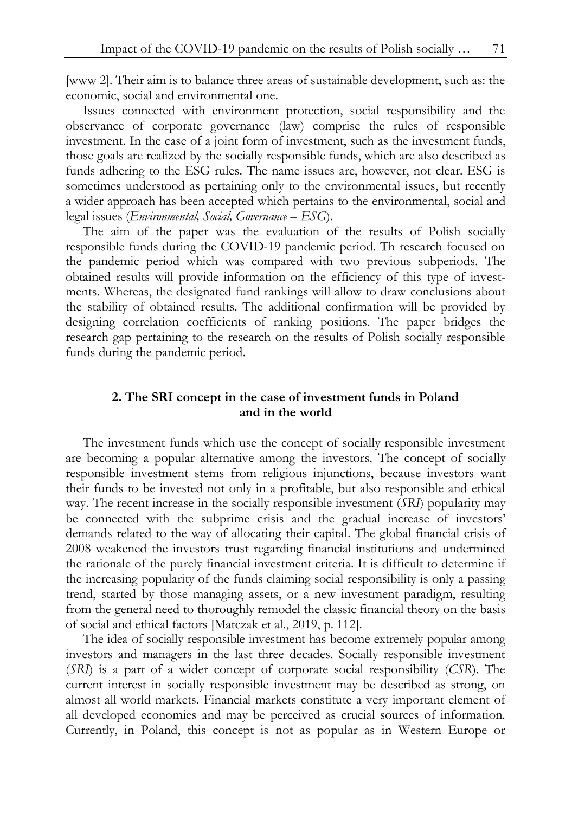[www 2]. Their aim is to balance three areas of sustainable development, such as: the economic, social and environmental one.

Issues connected with environment protection, social responsibility and the observance of corporate governance (law) comprise the rules of responsible investment. In the case of a joint form of investment, such as the investment funds, those goals are realized by the socially responsible funds, which are also described as funds adhering to the ESG rules. The name issues are, however, not clear. ESG is sometimes understood as pertaining only to the environmental issues, but recently a wider approach has been accepted which pertains to the environmental, social and legal issues (*Environmental, Social, Governance – ESG*).

The aim of the paper was the evaluation of the results of Polish socially responsible funds during the COVID-19 pandemic period. Th research focused on the pandemic period which was compared with two previous subperiods. The obtained results will provide information on the efficiency of this type of investments. Whereas, the designated fund rankings will allow to draw conclusions about the stability of obtained results. The additional confirmation will be provided by designing correlation coefficients of ranking positions. The paper bridges the research gap pertaining to the research on the results of Polish socially responsible funds during the pandemic period.

# **2. The SRI concept in the case of investment funds in Poland and in the world**

The investment funds which use the concept of socially responsible investment are becoming a popular alternative among the investors. The concept of socially responsible investment stems from religious injunctions, because investors want their funds to be invested not only in a profitable, but also responsible and ethical way. The recent increase in the socially responsible investment (*SRI*) popularity may be connected with the subprime crisis and the gradual increase of investors' demands related to the way of allocating their capital. The global financial crisis of 2008 weakened the investors trust regarding financial institutions and undermined the rationale of the purely financial investment criteria. It is difficult to determine if the increasing popularity of the funds claiming social responsibility is only a passing trend, started by those managing assets, or a new investment paradigm, resulting from the general need to thoroughly remodel the classic financial theory on the basis of social and ethical factors [Matczak et al., 2019, p. 112].

The idea of socially responsible investment has become extremely popular among investors and managers in the last three decades. Socially responsible investment (*SRI*) is a part of a wider concept of corporate social responsibility (*CSR*). The current interest in socially responsible investment may be described as strong, on almost all world markets. Financial markets constitute a very important element of all developed economies and may be perceived as crucial sources of information. Currently, in Poland, this concept is not as popular as in Western Europe or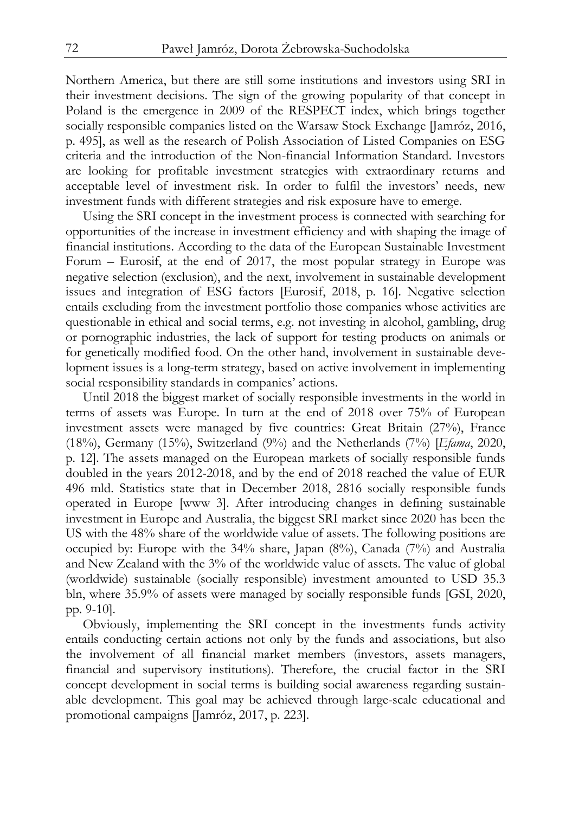Northern America, but there are still some institutions and investors using SRI in their investment decisions. The sign of the growing popularity of that concept in Poland is the emergence in 2009 of the RESPECT index, which brings together socially responsible companies listed on the Warsaw Stock Exchange [Jamróz, 2016, p. 495], as well as the research of Polish Association of Listed Companies on ESG criteria and the introduction of the Non-financial Information Standard. Investors are looking for profitable investment strategies with extraordinary returns and acceptable level of investment risk. In order to fulfil the investors' needs, new investment funds with different strategies and risk exposure have to emerge.

Using the SRI concept in the investment process is connected with searching for opportunities of the increase in investment efficiency and with shaping the image of financial institutions. According to the data of the European Sustainable Investment Forum – Eurosif, at the end of 2017, the most popular strategy in Europe was negative selection (exclusion), and the next, involvement in sustainable development issues and integration of ESG factors [Eurosif, 2018, p. 16]. Negative selection entails excluding from the investment portfolio those companies whose activities are questionable in ethical and social terms, e.g. not investing in alcohol, gambling, drug or pornographic industries, the lack of support for testing products on animals or for genetically modified food. On the other hand, involvement in sustainable development issues is a long-term strategy, based on active involvement in implementing social responsibility standards in companies' actions.

Until 2018 the biggest market of socially responsible investments in the world in terms of assets was Europe. In turn at the end of 2018 over 75% of European investment assets were managed by five countries: Great Britain (27%), France (18%), Germany (15%), Switzerland (9%) and the Netherlands (7%) [*Efama*, 2020, p. 12]. The assets managed on the European markets of socially responsible funds doubled in the years 2012-2018, and by the end of 2018 reached the value of EUR 496 mld. Statistics state that in December 2018, 2816 socially responsible funds operated in Europe [www 3]. After introducing changes in defining sustainable investment in Europe and Australia, the biggest SRI market since 2020 has been the US with the 48% share of the worldwide value of assets. The following positions are occupied by: Europe with the 34% share, Japan (8%), Canada (7%) and Australia and New Zealand with the 3% of the worldwide value of assets. The value of global (worldwide) sustainable (socially responsible) investment amounted to USD 35.3 bln, where 35.9% of assets were managed by socially responsible funds [GSI, 2020, pp. 9-10].

Obviously, implementing the SRI concept in the investments funds activity entails conducting certain actions not only by the funds and associations, but also the involvement of all financial market members (investors, assets managers, financial and supervisory institutions). Therefore, the crucial factor in the SRI concept development in social terms is building social awareness regarding sustainable development. This goal may be achieved through large-scale educational and promotional campaigns [Jamróz, 2017, p. 223].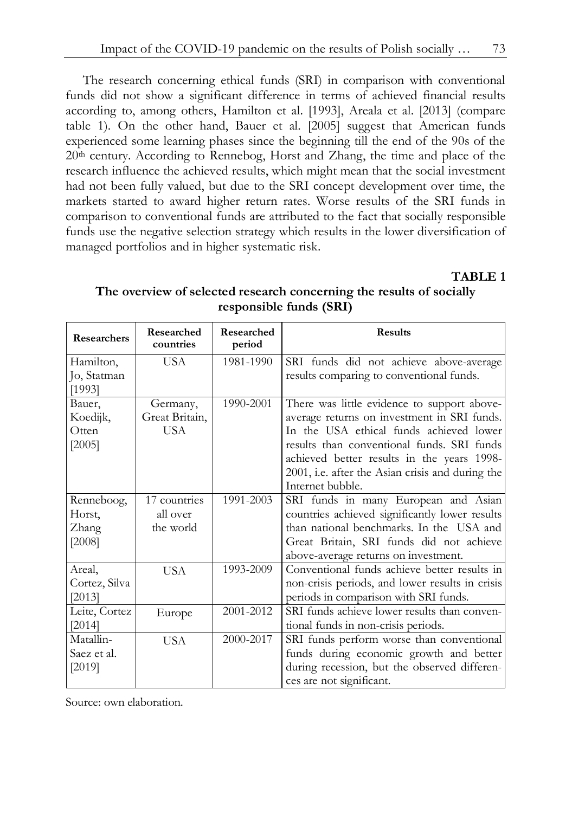The research concerning ethical funds (SRI) in comparison with conventional funds did not show a significant difference in terms of achieved financial results according to, among others, Hamilton et al. [1993], Areala et al. [2013] (compare table 1). On the other hand, Bauer et al. [2005] suggest that American funds experienced some learning phases since the beginning till the end of the 90s of the 20th century. According to Rennebog, Horst and Zhang, the time and place of the research influence the achieved results, which might mean that the social investment had not been fully valued, but due to the SRI concept development over time, the markets started to award higher return rates. Worse results of the SRI funds in comparison to conventional funds are attributed to the fact that socially responsible funds use the negative selection strategy which results in the lower diversification of managed portfolios and in higher systematic risk.

**TABLE 1** 

| <b>Researchers</b> | Researched<br>countries | Researched<br>period | <b>Results</b>                                   |
|--------------------|-------------------------|----------------------|--------------------------------------------------|
| Hamilton,          | USA                     | 1981-1990            | SRI funds did not achieve above-average          |
| Jo, Statman        |                         |                      | results comparing to conventional funds.         |
| [1993]             |                         |                      |                                                  |
| Bauer,             | Germany,                | 1990-2001            | There was little evidence to support above-      |
| Koedijk,           | Great Britain,          |                      | average returns on investment in SRI funds.      |
| Otten              | USA                     |                      | In the USA ethical funds achieved lower          |
| [2005]             |                         |                      | results than conventional funds. SRI funds       |
|                    |                         |                      | achieved better results in the years 1998-       |
|                    |                         |                      | 2001, i.e. after the Asian crisis and during the |
|                    |                         |                      | Internet bubble.                                 |
| Renneboog,         | 17 countries            | 1991-2003            | SRI funds in many European and Asian             |
| Horst,             | all over                |                      | countries achieved significantly lower results   |
| Zhang              | the world               |                      | than national benchmarks. In the USA and         |
| [2008]             |                         |                      | Great Britain, SRI funds did not achieve         |
|                    |                         |                      | above-average returns on investment.             |
| Areal,             | <b>USA</b>              | 1993-2009            | Conventional funds achieve better results in     |
| Cortez, Silva      |                         |                      | non-crisis periods, and lower results in crisis  |
| [2013]             |                         |                      | periods in comparison with SRI funds.            |
| Leite, Cortez      | Europe                  | 2001-2012            | SRI funds achieve lower results than conven-     |
| [2014]             |                         |                      | tional funds in non-crisis periods.              |
| Matallin-          | <b>USA</b>              | 2000-2017            | SRI funds perform worse than conventional        |
| Saez et al.        |                         |                      | funds during economic growth and better          |
| [2019]             |                         |                      | during recession, but the observed differen-     |
|                    |                         |                      | ces are not significant.                         |

**The overview of selected research concerning the results of socially responsible funds (SRI)**

Source: own elaboration.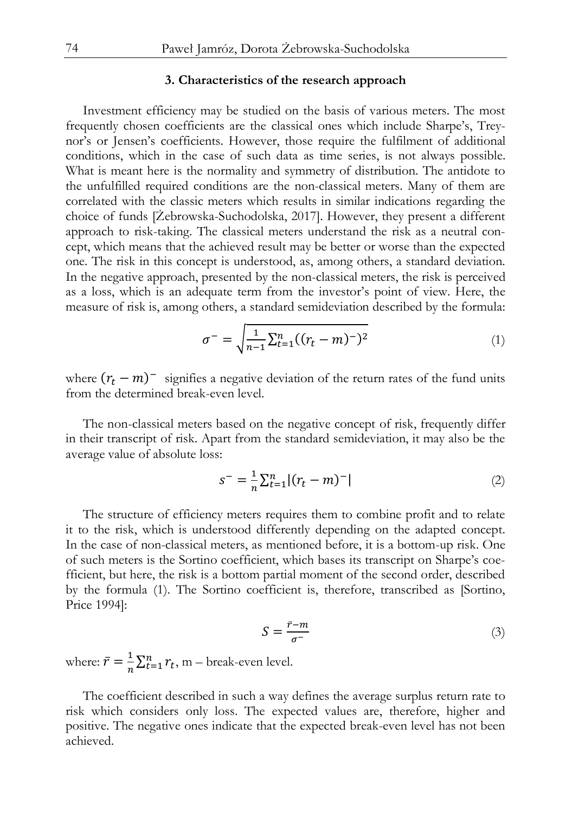#### **3. Characteristics of the research approach**

Investment efficiency may be studied on the basis of various meters. The most frequently chosen coefficients are the classical ones which include Sharpe's, Treynor's or Jensen's coefficients. However, those require the fulfilment of additional conditions, which in the case of such data as time series, is not always possible. What is meant here is the normality and symmetry of distribution. The antidote to the unfulfilled required conditions are the non-classical meters. Many of them are correlated with the classic meters which results in similar indications regarding the choice of funds [Żebrowska-Suchodolska, 2017]. However, they present a different approach to risk-taking. The classical meters understand the risk as a neutral concept, which means that the achieved result may be better or worse than the expected one. The risk in this concept is understood, as, among others, a standard deviation. In the negative approach, presented by the non-classical meters, the risk is perceived as a loss, which is an adequate term from the investor's point of view. Here, the measure of risk is, among others, a standard semideviation described by the formula:

$$
\sigma^{-} = \sqrt{\frac{1}{n-1} \sum_{t=1}^{n} ((r_t - m)^{-})^2}
$$
 (1)

where  $(r_t - m)^{-1}$  signifies a negative deviation of the return rates of the fund units from the determined break-even level.

The non-classical meters based on the negative concept of risk, frequently differ in their transcript of risk. Apart from the standard semideviation, it may also be the average value of absolute loss:

$$
s^{-} = \frac{1}{n} \sum_{t=1}^{n} |(r_t - m)^{-}|
$$
 (2)

The structure of efficiency meters requires them to combine profit and to relate it to the risk, which is understood differently depending on the adapted concept. In the case of non-classical meters, as mentioned before, it is a bottom-up risk. One of such meters is the Sortino coefficient, which bases its transcript on Sharpe's coefficient, but here, the risk is a bottom partial moment of the second order, described by the formula (1). The Sortino coefficient is, therefore, transcribed as [Sortino, Price 1994]:

$$
S = \frac{\bar{r} - m}{\sigma^{-}} \tag{3}
$$

where:  $\bar{r} = \frac{1}{n} \sum_{t=1}^{n} r_t$ , m – break-even level.

The coefficient described in such a way defines the average surplus return rate to risk which considers only loss. The expected values are, therefore, higher and positive. The negative ones indicate that the expected break-even level has not been achieved.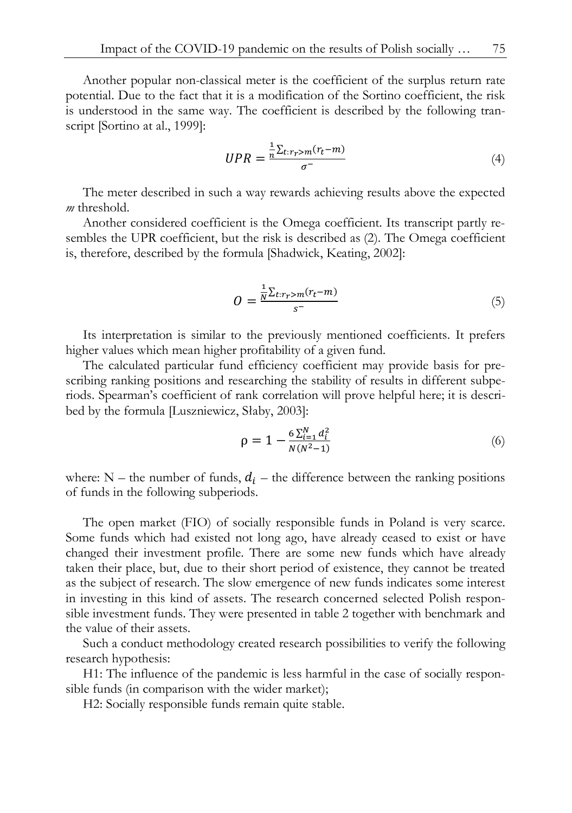Another popular non-classical meter is the coefficient of the surplus return rate potential. Due to the fact that it is a modification of the Sortino coefficient, the risk is understood in the same way. The coefficient is described by the following transcript [Sortino at al., 1999]:

$$
UPR = \frac{\frac{1}{n} \sum_{t: r_r > m} (r_t - m)}{\sigma^-} \tag{4}
$$

The meter described in such a way rewards achieving results above the expected *m* threshold.

Another considered coefficient is the Omega coefficient. Its transcript partly resembles the UPR coefficient, but the risk is described as (2). The Omega coefficient is, therefore, described by the formula [Shadwick, Keating, 2002]:

$$
O = \frac{\frac{1}{N} \sum_{t: r_r > m} (r_t - m)}{s^-}
$$
 (5)

Its interpretation is similar to the previously mentioned coefficients. It prefers higher values which mean higher profitability of a given fund.

The calculated particular fund efficiency coefficient may provide basis for prescribing ranking positions and researching the stability of results in different subperiods. Spearman's coefficient of rank correlation will prove helpful here; it is described by the formula [Luszniewicz, Słaby, 2003]:

$$
\rho = 1 - \frac{6 \sum_{i=1}^{N} d_i^2}{N(N^2 - 1)}
$$
\n(6)

where:  $N$  – the number of funds,  $d_i$  – the difference between the ranking positions of funds in the following subperiods.

The open market (FIO) of socially responsible funds in Poland is very scarce. Some funds which had existed not long ago, have already ceased to exist or have changed their investment profile. There are some new funds which have already taken their place, but, due to their short period of existence, they cannot be treated as the subject of research. The slow emergence of new funds indicates some interest in investing in this kind of assets. The research concerned selected Polish responsible investment funds. They were presented in table 2 together with benchmark and the value of their assets.

Such a conduct methodology created research possibilities to verify the following research hypothesis:

H1: The influence of the pandemic is less harmful in the case of socially responsible funds (in comparison with the wider market);

H2: Socially responsible funds remain quite stable.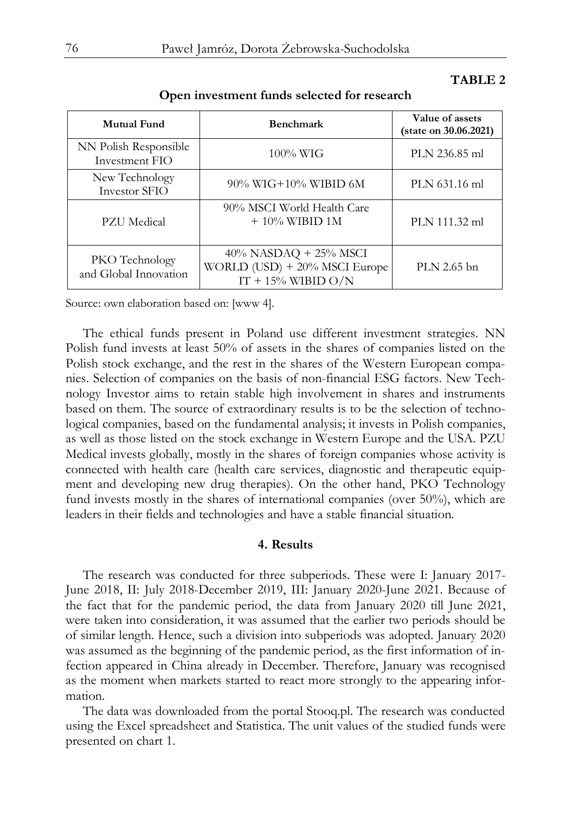### **TABLE 2**

| Mutual Fund                             | <b>Benchmark</b>                                                                   | Value of assets<br>(state on 30.06.2021) |
|-----------------------------------------|------------------------------------------------------------------------------------|------------------------------------------|
| NN Polish Responsible<br>Investment FIO | $100\%$ WIG                                                                        | PLN 236.85 ml                            |
| New Technology<br>Investor SFIO         | 90% WIG+10% WIBID 6M                                                               | PLN 631.16 ml                            |
| PZU Medical                             | 90% MSCI World Health Care<br>$+ 10\%$ WIBID 1M                                    | PLN 111.32 ml                            |
| PKO Technology<br>and Global Innovation | $40\%$ NASDAQ + 25% MSCI<br>WORLD (USD) + 20% MSCI Europe<br>$IT + 15\%$ WIBID O/N | PLN 2.65 bn                              |

#### **Open investment funds selected for research**

Source: own elaboration based on: [www 4].

The ethical funds present in Poland use different investment strategies. NN Polish fund invests at least 50% of assets in the shares of companies listed on the Polish stock exchange, and the rest in the shares of the Western European companies. Selection of companies on the basis of non-financial ESG factors. New Technology Investor aims to retain stable high involvement in shares and instruments based on them. The source of extraordinary results is to be the selection of technological companies, based on the fundamental analysis; it invests in Polish companies, as well as those listed on the stock exchange in Western Europe and the USA. PZU Medical invests globally, mostly in the shares of foreign companies whose activity is connected with health care (health care services, diagnostic and therapeutic equipment and developing new drug therapies). On the other hand, PKO Technology fund invests mostly in the shares of international companies (over 50%), which are leaders in their fields and technologies and have a stable financial situation.

#### **4. Results**

The research was conducted for three subperiods. These were I: January 2017- June 2018, II: July 2018-December 2019, III: January 2020-June 2021. Because of the fact that for the pandemic period, the data from January 2020 till June 2021, were taken into consideration, it was assumed that the earlier two periods should be of similar length. Hence, such a division into subperiods was adopted. January 2020 was assumed as the beginning of the pandemic period, as the first information of infection appeared in China already in December. Therefore, January was recognised as the moment when markets started to react more strongly to the appearing information.

The data was downloaded from the portal Stooq.pl. The research was conducted using the Excel spreadsheet and Statistica. The unit values of the studied funds were presented on chart 1.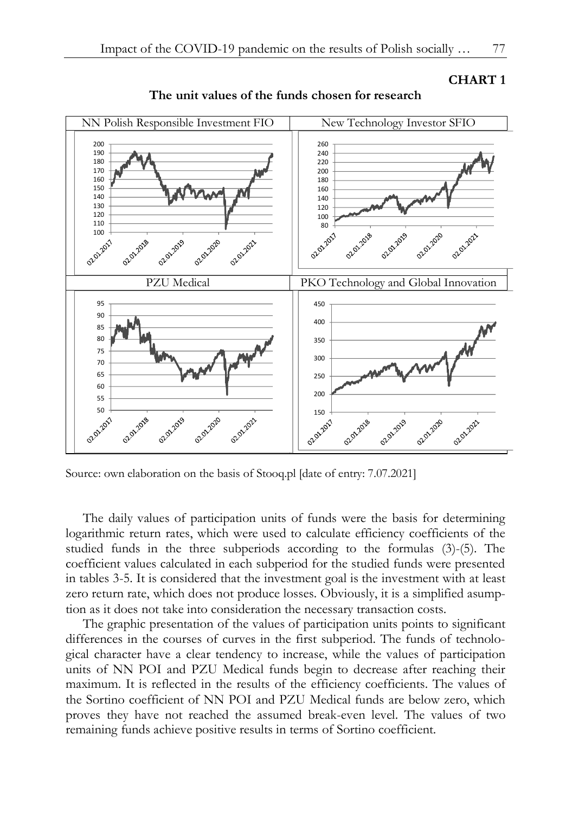



**The unit values of the funds chosen for research**

Source: own elaboration on the basis of Stooq.pl [date of entry: 7.07.2021]

The daily values of participation units of funds were the basis for determining logarithmic return rates, which were used to calculate efficiency coefficients of the studied funds in the three subperiods according to the formulas (3)-(5). The coefficient values calculated in each subperiod for the studied funds were presented in tables 3-5. It is considered that the investment goal is the investment with at least zero return rate, which does not produce losses. Obviously, it is a simplified asumption as it does not take into consideration the necessary transaction costs.

The graphic presentation of the values of participation units points to significant differences in the courses of curves in the first subperiod. The funds of technological character have a clear tendency to increase, while the values of participation units of NN POI and PZU Medical funds begin to decrease after reaching their maximum. It is reflected in the results of the efficiency coefficients. The values of the Sortino coefficient of NN POI and PZU Medical funds are below zero, which proves they have not reached the assumed break-even level. The values of two remaining funds achieve positive results in terms of Sortino coefficient.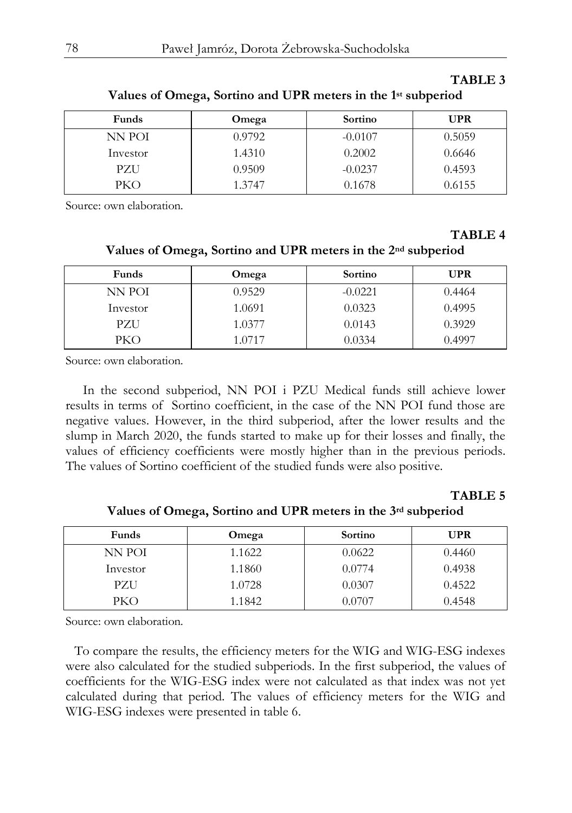#### **TABLE 3**

| Funds      | Omega  | Sortino   | <b>UPR</b> |
|------------|--------|-----------|------------|
| NN POI     | 0.9792 | $-0.0107$ | 0.5059     |
| Investor   | 1.4310 | 0.2002    | 0.6646     |
| PZU        | 0.9509 | $-0.0237$ | 0.4593     |
| <b>PKO</b> | 1.3747 | 0.1678    | 0.6155     |

**Values of Omega, Sortino and UPR meters in the 1st subperiod**

Source: own elaboration.

#### **TABLE 4**

**Values of Omega, Sortino and UPR meters in the 2nd subperiod**

| Funds      | Omega  | Sortino   | <b>UPR</b> |
|------------|--------|-----------|------------|
| NN POI     | 0.9529 | $-0.0221$ | 0.4464     |
| Investor   | 1.0691 | 0.0323    | 0.4995     |
| PZU        | 1.0377 | 0.0143    | 0.3929     |
| <b>PKO</b> | 1.0717 | 0.0334    | 0.4997     |

Source: own elaboration.

In the second subperiod, NN POI i PZU Medical funds still achieve lower results in terms of Sortino coefficient, in the case of the NN POI fund those are negative values. However, in the third subperiod, after the lower results and the slump in March 2020, the funds started to make up for their losses and finally, the values of efficiency coefficients were mostly higher than in the previous periods. The values of Sortino coefficient of the studied funds were also positive.

#### **TABLE 5**

**Values of Omega, Sortino and UPR meters in the 3rd subperiod**

| Funds    | Omega  | Sortino | UPR    |
|----------|--------|---------|--------|
| NN POI   | 1.1622 | 0.0622  | 0.4460 |
| Investor | 1.1860 | 0.0774  | 0.4938 |
| PZU      | 1.0728 | 0.0307  | 0.4522 |
| PKO      | 1.1842 | 0.0707  | 0.4548 |

Source: own elaboration.

To compare the results, the efficiency meters for the WIG and WIG-ESG indexes were also calculated for the studied subperiods. In the first subperiod, the values of coefficients for the WIG-ESG index were not calculated as that index was not yet calculated during that period. The values of efficiency meters for the WIG and WIG-ESG indexes were presented in table 6.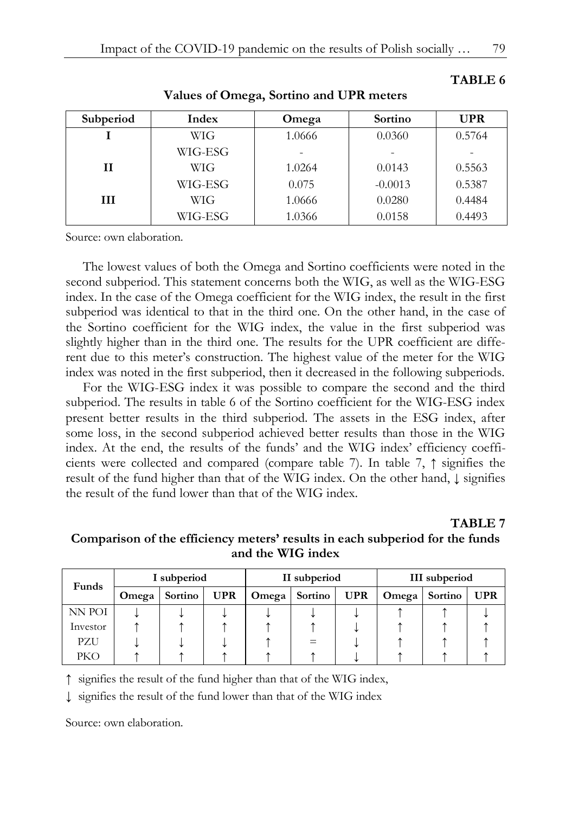| Subperiod | Index      | Omega  | Sortino   | <b>UPR</b> |
|-----------|------------|--------|-----------|------------|
|           | <b>WIG</b> | 1.0666 | 0.0360    | 0.5764     |
|           | WIG-ESG    |        |           |            |
| Н         | <b>WIG</b> | 1.0264 | 0.0143    | 0.5563     |
|           | WIG-ESG    | 0.075  | $-0.0013$ | 0.5387     |
| Ш         | <b>WIG</b> | 1.0666 | 0.0280    | 0.4484     |
|           | WIG-ESG    | 1.0366 | 0.0158    | 0.4493     |

**Values of Omega, Sortino and UPR meters**

Source: own elaboration.

The lowest values of both the Omega and Sortino coefficients were noted in the second subperiod. This statement concerns both the WIG, as well as the WIG-ESG index. In the case of the Omega coefficient for the WIG index, the result in the first subperiod was identical to that in the third one. On the other hand, in the case of the Sortino coefficient for the WIG index, the value in the first subperiod was slightly higher than in the third one. The results for the UPR coefficient are different due to this meter's construction. The highest value of the meter for the WIG index was noted in the first subperiod, then it decreased in the following subperiods.

For the WIG-ESG index it was possible to compare the second and the third subperiod. The results in table 6 of the Sortino coefficient for the WIG-ESG index present better results in the third subperiod. The assets in the ESG index, after some loss, in the second subperiod achieved better results than those in the WIG index. At the end, the results of the funds' and the WIG index' efficiency coefficients were collected and compared (compare table 7). In table 7, ↑ signifies the result of the fund higher than that of the WIG index. On the other hand, ↓ signifies the result of the fund lower than that of the WIG index.

# **TABLE 7**

**Comparison of the efficiency meters' results in each subperiod for the funds and the WIG index**

| Funds    | I subperiod |                |            | II subperiod |         |            | <b>III</b> subperiod |         |            |
|----------|-------------|----------------|------------|--------------|---------|------------|----------------------|---------|------------|
|          | Omega       | <b>Sortino</b> | <b>UPR</b> | Omega        | Sortino | <b>UPR</b> | Omega                | Sortino | <b>UPR</b> |
| NN POI   |             |                |            |              |         |            |                      |         |            |
| Investor |             |                |            |              |         |            |                      |         |            |
| PZU      |             |                |            |              |         |            |                      |         |            |
| PKO      |             |                |            |              |         |            |                      |         |            |

↑ signifies the result of the fund higher than that of the WIG index,

↓ signifies the result of the fund lower than that of the WIG index

Source: own elaboration.

**TABLE 6**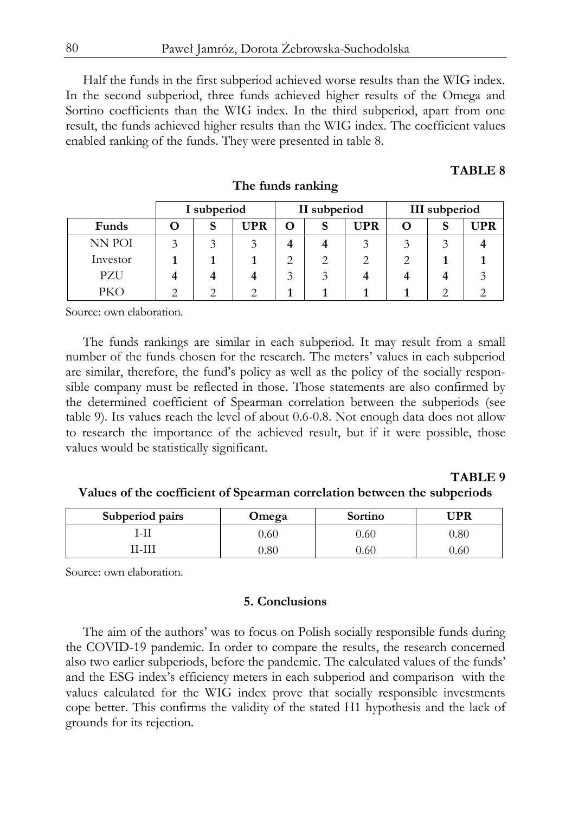Half the funds in the first subperiod achieved worse results than the WIG index. In the second subperiod, three funds achieved higher results of the Omega and Sortino coefficients than the WIG index. In the third subperiod, apart from one result, the funds achieved higher results than the WIG index. The coefficient values enabled ranking of the funds. They were presented in table 8.

# **TABLE 8**

|          | I subperiod |  | II subperiod |   |        | III subperiod |   |   |     |
|----------|-------------|--|--------------|---|--------|---------------|---|---|-----|
| Funds    |             |  | <b>UPR</b>   | O | S      | <b>UPR</b>    | 0 | S | UPR |
| NN POI   | Ć           |  |              |   |        |               |   |   |     |
| Investor |             |  |              | ∠ | ◠<br>∠ |               |   |   |     |
| PZU      |             |  |              | ◠ |        |               |   |   |     |
| PKO      |             |  |              |   |        |               |   |   |     |

**The funds ranking**

Source: own elaboration.

The funds rankings are similar in each subperiod. It may result from a small number of the funds chosen for the research. The meters' values in each subperiod are similar, therefore, the fund's policy as well as the policy of the socially responsible company must be reflected in those. Those statements are also confirmed by the determined coefficient of Spearman correlation between the subperiods (see table 9). Its values reach the level of about 0.6-0.8. Not enough data does not allow to research the importance of the achieved result, but if it were possible, those values would be statistically significant.

# **TABLE 9**

# **Values of the coefficient of Spearman correlation between the subperiods**

| Subperiod pairs | Omega | Sortino | ™PR      |
|-----------------|-------|---------|----------|
| -l1             | 0.60  | 0.60    | ${0.80}$ |
| 'I-IIı          | ).80  | 0.60    | 0.60     |

Source: own elaboration.

### **5. Conclusions**

The aim of the authors' was to focus on Polish socially responsible funds during the COVID-19 pandemic. In order to compare the results, the research concerned also two earlier subperiods, before the pandemic. The calculated values of the funds' and the ESG index's efficiency meters in each subperiod and comparison with the values calculated for the WIG index prove that socially responsible investments cope better. This confirms the validity of the stated H1 hypothesis and the lack of grounds for its rejection.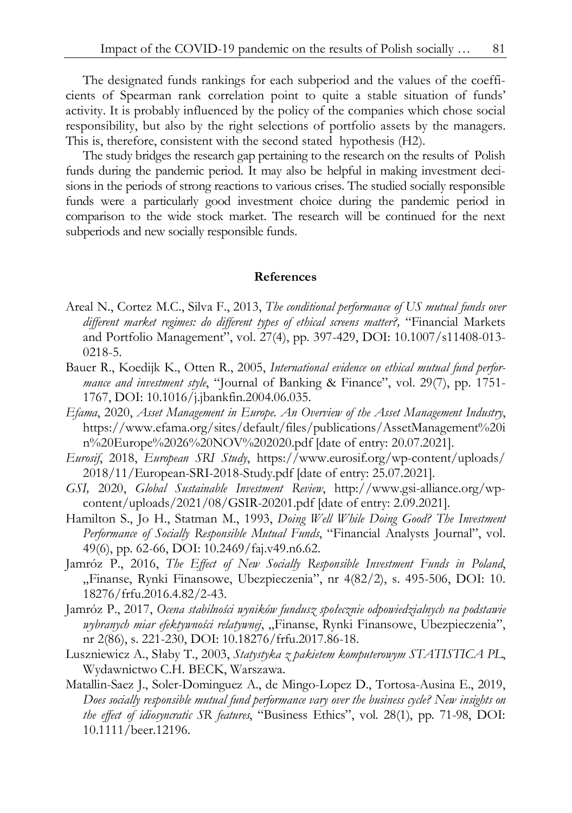The designated funds rankings for each subperiod and the values of the coefficients of Spearman rank correlation point to quite a stable situation of funds' activity. It is probably influenced by the policy of the companies which chose social responsibility, but also by the right selections of portfolio assets by the managers. This is, therefore, consistent with the second stated hypothesis (H2).

The study bridges the research gap pertaining to the research on the results of Polish funds during the pandemic period. It may also be helpful in making investment decisions in the periods of strong reactions to various crises. The studied socially responsible funds were a particularly good investment choice during the pandemic period in comparison to the wide stock market. The research will be continued for the next subperiods and new socially responsible funds.

### **References**

- Areal N., Cortez M.C., Silva F., 2013, *The conditional performance of US mutual funds over different market regimes: do different types of ethical screens matter?,* "Financial Markets and Portfolio Management", vol. 27(4), pp. 397-429, DOI: 10.1007/s11408-013- 0218-5.
- Bauer R., Koedijk K., Otten R., 2005, *International evidence on ethical mutual fund performance and investment style*, "Journal of Banking & Finance", vol. 29(7), pp. 1751- 1767, DOI: 10.1016/j.jbankfin.2004.06.035.
- *Efama*, 2020, *Asset Management in Europe. An Overview of the Asset Management Industry*, https://www.efama.org/sites/default/files/publications/AssetManagement%20i n%20Europe%2026%20NOV%202020.pdf [date of entry: 20.07.2021].
- *Eurosif*, 2018, *European SRI Study*, https://www.eurosif.org/wp-content/uploads/ 2018/11/European-SRI-2018-Study.pdf [date of entry: 25.07.2021].
- *GSI,* 2020, *Global Sustainable Investment Review*, http://www.gsi-alliance.org/wpcontent/uploads/2021/08/GSIR-20201.pdf [date of entry: 2.09.2021].
- Hamilton S., Jo H., Statman M., 1993, *Doing Well While Doing Good? The Investment Performance of Socially Responsible Mutual Funds*, "Financial Analysts Journal", vol. 49(6), pp. 62-66, DOI: 10.2469/faj.v49.n6.62.
- Jamróz P., 2016, *The Effect of New Socially Responsible Investment Funds in Poland*, "Finanse, Rynki Finansowe, Ubezpieczenia", nr 4(82/2), s. 495-506, DOI: 10. 18276/frfu.2016.4.82/2-43.
- Jamróz P., 2017, *Ocena stabilności wyników fundusz społecznie odpowiedzialnych na podstawie wybranych miar efektywności relatywnej*, "Finanse, Rynki Finansowe, Ubezpieczenia", nr 2(86), s. 221-230, DOI: 10.18276/frfu.2017.86-18.
- Luszniewicz A., Słaby T., 2003, *Statystyka z pakietem komputerowym STATISTICA PL*, Wydawnictwo C.H. BECK, Warszawa.
- Matallin-Saez J., Soler-Dominguez A., de Mingo-Lopez D., Tortosa-Ausina E., 2019, *Does socially responsible mutual fund performance vary over the business cycle? New insights on the effect of idiosyncratic SR features*, "Business Ethics", vol. 28(1), pp. 71-98, DOI: 10.1111/beer.12196.